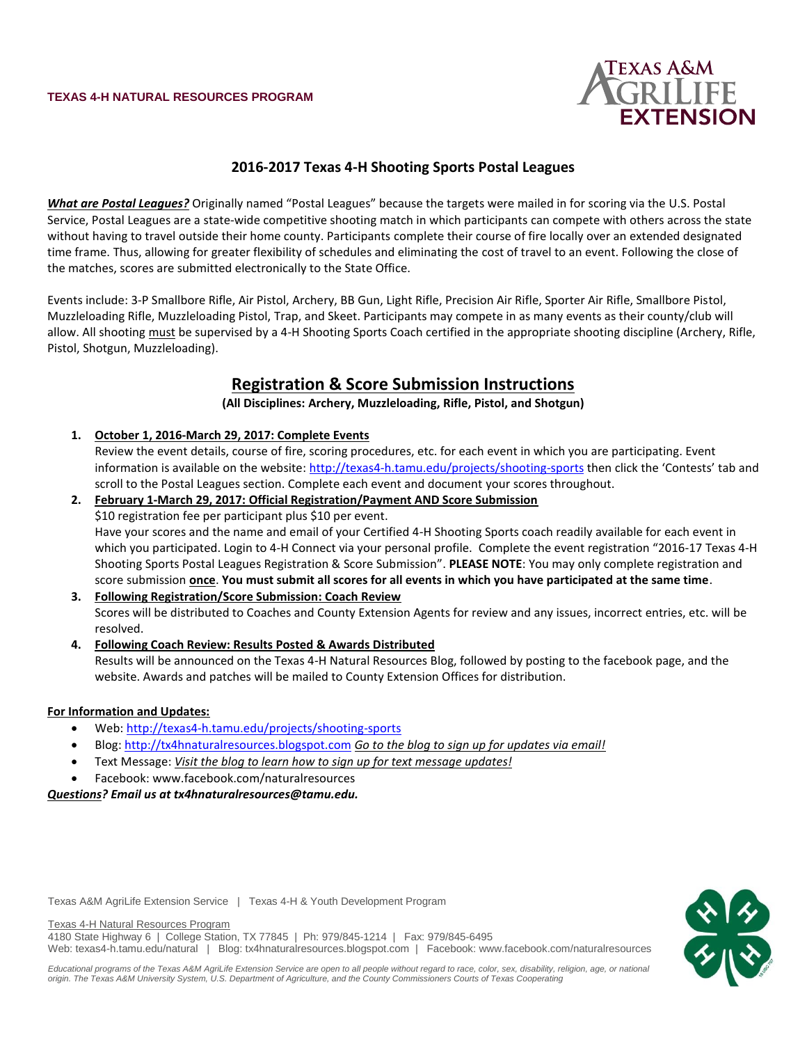

## **2016-2017 Texas 4-H Shooting Sports Postal Leagues**

*What are Postal Leagues?* Originally named "Postal Leagues" because the targets were mailed in for scoring via the U.S. Postal Service, Postal Leagues are a state-wide competitive shooting match in which participants can compete with others across the state without having to travel outside their home county. Participants complete their course of fire locally over an extended designated time frame. Thus, allowing for greater flexibility of schedules and eliminating the cost of travel to an event. Following the close of the matches, scores are submitted electronically to the State Office.

Events include: 3-P Smallbore Rifle, Air Pistol, Archery, BB Gun, Light Rifle, Precision Air Rifle, Sporter Air Rifle, Smallbore Pistol, Muzzleloading Rifle, Muzzleloading Pistol, Trap, and Skeet. Participants may compete in as many events as their county/club will allow. All shooting must be supervised by a 4-H Shooting Sports Coach certified in the appropriate shooting discipline (Archery, Rifle, Pistol, Shotgun, Muzzleloading).

# **Registration & Score Submission Instructions**

**(All Disciplines: Archery, Muzzleloading, Rifle, Pistol, and Shotgun)**

**1. October 1, 2016-March 29, 2017: Complete Events**

Review the event details, course of fire, scoring procedures, etc. for each event in which you are participating. Event information is available on the website:<http://texas4-h.tamu.edu/projects/shooting-sports> then click the 'Contests' tab and scroll to the Postal Leagues section. Complete each event and document your scores throughout.

## **2. February 1-March 29, 2017: Official Registration/Payment AND Score Submission** \$10 registration fee per participant plus \$10 per event. Have your scores and the name and email of your Certified 4-H Shooting Sports coach readily available for each event in which you participated. Login to 4-H Connect via your personal profile. Complete the event registration "2016-17 Texas 4-H Shooting Sports Postal Leagues Registration & Score Submission". **PLEASE NOTE**: You may only complete registration and score submission **once**. **You must submit all scores for all events in which you have participated at the same time**.

- **3. Following Registration/Score Submission: Coach Review** Scores will be distributed to Coaches and County Extension Agents for review and any issues, incorrect entries, etc. will be resolved.
- **4. Following Coach Review: Results Posted & Awards Distributed**

Results will be announced on the Texas 4-H Natural Resources Blog, followed by posting to the facebook page, and the website. Awards and patches will be mailed to County Extension Offices for distribution.

#### **For Information and Updates:**

- Web:<http://texas4-h.tamu.edu/projects/shooting-sports>
- Blog[: http://tx4hnaturalresources.blogspot.com](http://tx4hnaturalresources.blogspot.com/) *Go to the blog to sign up for updates via email!*
- Text Message: *Visit the blog to learn how to sign up for text message updates!*
- Facebook: [www.facebook.com/naturalresources](http://www.facebook.com/naturalresources)

*Questions? Email us at tx4hnaturalresources@tamu.edu.*



Texas A&M AgriLife Extension Service | Texas 4-H & Youth Development Program

Texas 4-H Natural Resources Program

4180 State Highway 6 | College Station, TX 77845 | Ph: 979/845-1214 | Fax: 979/845-6495 Web: texas4-h.tamu.edu/natural | Blog: tx4hnaturalresources.blogspot.com | Facebook[: www.facebook.com/naturalresources](http://www.facebook.com/naturalresources)

*Educational programs of the Texas A&M AgriLife Extension Service are open to all people without regard to race, color, sex, disability, religion, age, or national origin. The Texas A&M University System, U.S. Department of Agriculture, and the County Commissioners Courts of Texas Cooperating*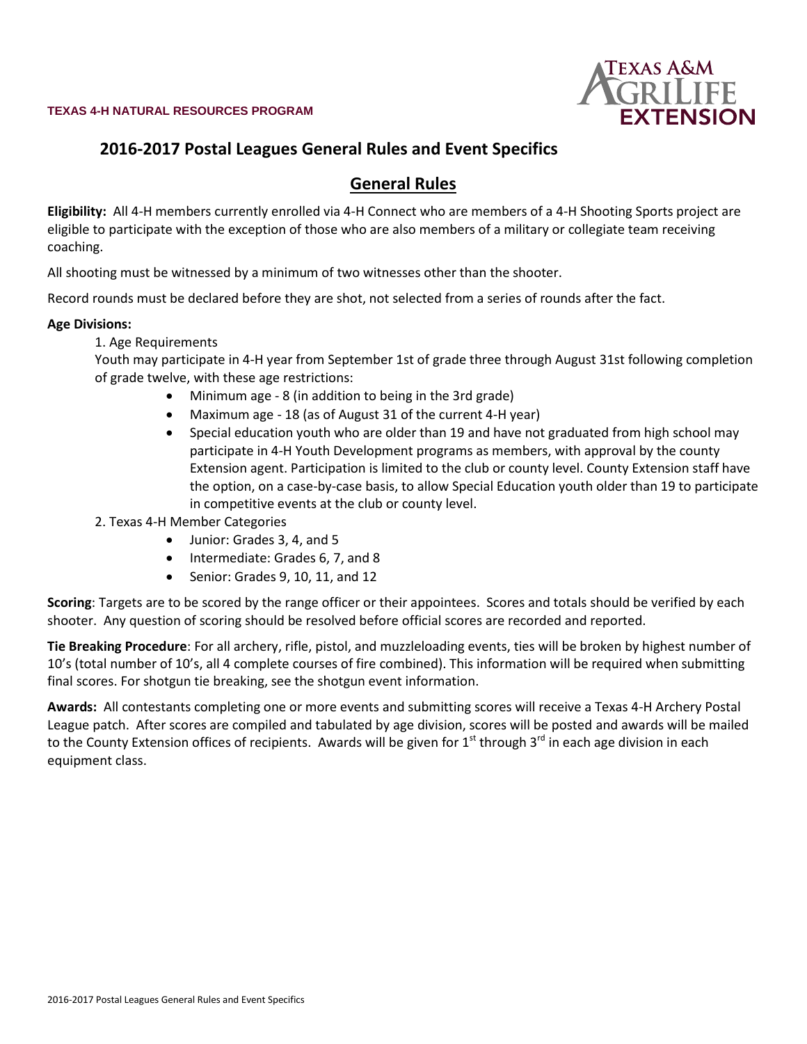

# **2016-2017 Postal Leagues General Rules and Event Specifics**

# **General Rules**

**Eligibility:** All 4-H members currently enrolled via 4-H Connect who are members of a 4-H Shooting Sports project are eligible to participate with the exception of those who are also members of a military or collegiate team receiving coaching.

All shooting must be witnessed by a minimum of two witnesses other than the shooter.

Record rounds must be declared before they are shot, not selected from a series of rounds after the fact.

## **Age Divisions:**

1. Age Requirements

Youth may participate in 4-H year from September 1st of grade three through August 31st following completion of grade twelve, with these age restrictions:

- Minimum age 8 (in addition to being in the 3rd grade)
- Maximum age 18 (as of August 31 of the current 4-H year)
- Special education youth who are older than 19 and have not graduated from high school may participate in 4-H Youth Development programs as members, with approval by the county Extension agent. Participation is limited to the club or county level. County Extension staff have the option, on a case-by-case basis, to allow Special Education youth older than 19 to participate in competitive events at the club or county level.

## 2. Texas 4-H Member Categories

- Junior: Grades 3, 4, and 5
- Intermediate: Grades 6, 7, and 8
- Senior: Grades 9, 10, 11, and 12

**Scoring**: Targets are to be scored by the range officer or their appointees. Scores and totals should be verified by each shooter. Any question of scoring should be resolved before official scores are recorded and reported.

**Tie Breaking Procedure**: For all archery, rifle, pistol, and muzzleloading events, ties will be broken by highest number of 10's (total number of 10's, all 4 complete courses of fire combined). This information will be required when submitting final scores. For shotgun tie breaking, see the shotgun event information.

**Awards:** All contestants completing one or more events and submitting scores will receive a Texas 4-H Archery Postal League patch. After scores are compiled and tabulated by age division, scores will be posted and awards will be mailed to the County Extension offices of recipients. Awards will be given for  $1<sup>st</sup>$  through  $3<sup>rd</sup>$  in each age division in each equipment class.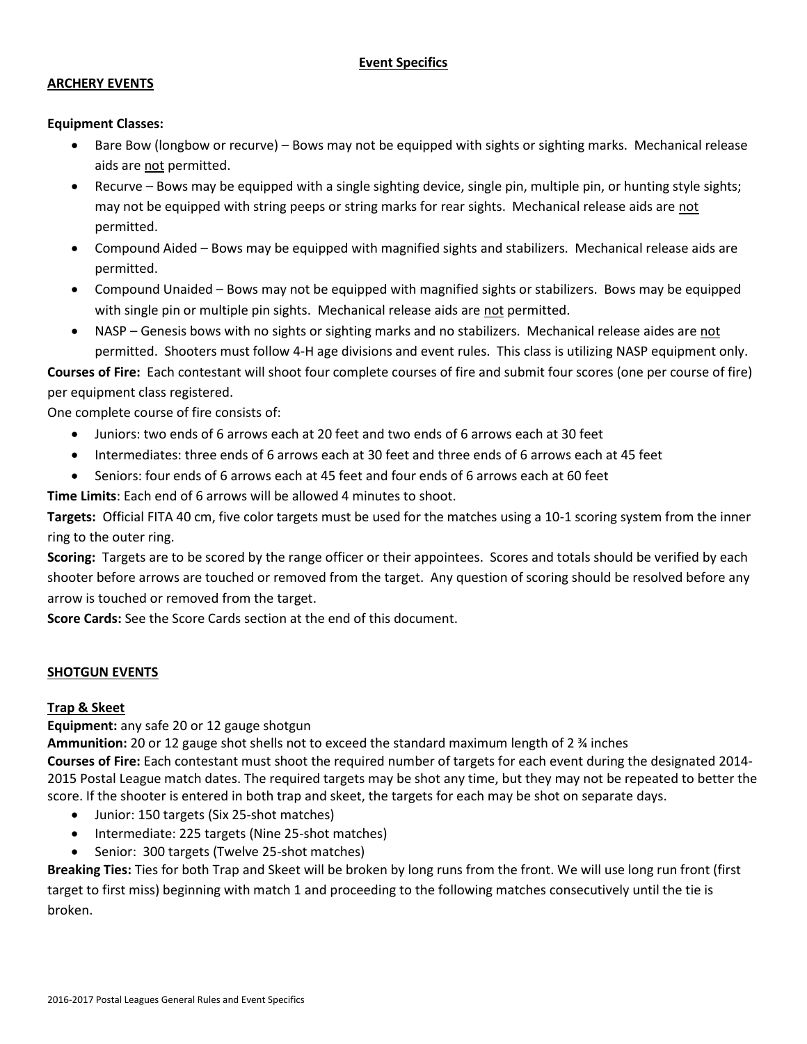# **Event Specifics**

#### **ARCHERY EVENTS**

#### **Equipment Classes:**

- Bare Bow (longbow or recurve) Bows may not be equipped with sights or sighting marks. Mechanical release aids are not permitted.
- Recurve Bows may be equipped with a single sighting device, single pin, multiple pin, or hunting style sights; may not be equipped with string peeps or string marks for rear sights. Mechanical release aids are not permitted.
- Compound Aided Bows may be equipped with magnified sights and stabilizers. Mechanical release aids are permitted.
- Compound Unaided Bows may not be equipped with magnified sights or stabilizers. Bows may be equipped with single pin or multiple pin sights. Mechanical release aids are not permitted.
- NASP Genesis bows with no sights or sighting marks and no stabilizers. Mechanical release aides are not permitted. Shooters must follow 4-H age divisions and event rules. This class is utilizing NASP equipment only.

**Courses of Fire:** Each contestant will shoot four complete courses of fire and submit four scores (one per course of fire) per equipment class registered.

One complete course of fire consists of:

- Juniors: two ends of 6 arrows each at 20 feet and two ends of 6 arrows each at 30 feet
- Intermediates: three ends of 6 arrows each at 30 feet and three ends of 6 arrows each at 45 feet
- Seniors: four ends of 6 arrows each at 45 feet and four ends of 6 arrows each at 60 feet

**Time Limits**: Each end of 6 arrows will be allowed 4 minutes to shoot.

**Targets:** Official FITA 40 cm, five color targets must be used for the matches using a 10-1 scoring system from the inner ring to the outer ring.

**Scoring:** Targets are to be scored by the range officer or their appointees. Scores and totals should be verified by each shooter before arrows are touched or removed from the target. Any question of scoring should be resolved before any arrow is touched or removed from the target.

**Score Cards:** See the Score Cards section at the end of this document.

## **SHOTGUN EVENTS**

## **Trap & Skeet**

**Equipment:** any safe 20 or 12 gauge shotgun

**Ammunition:** 20 or 12 gauge shot shells not to exceed the standard maximum length of 2 ¾ inches

**Courses of Fire:** Each contestant must shoot the required number of targets for each event during the designated 2014- 2015 Postal League match dates. The required targets may be shot any time, but they may not be repeated to better the score. If the shooter is entered in both trap and skeet, the targets for each may be shot on separate days.

- Junior: 150 targets (Six 25-shot matches)
- Intermediate: 225 targets (Nine 25-shot matches)
- Senior: 300 targets (Twelve 25-shot matches)

**Breaking Ties:** Ties for both Trap and Skeet will be broken by long runs from the front. We will use long run front (first target to first miss) beginning with match 1 and proceeding to the following matches consecutively until the tie is broken.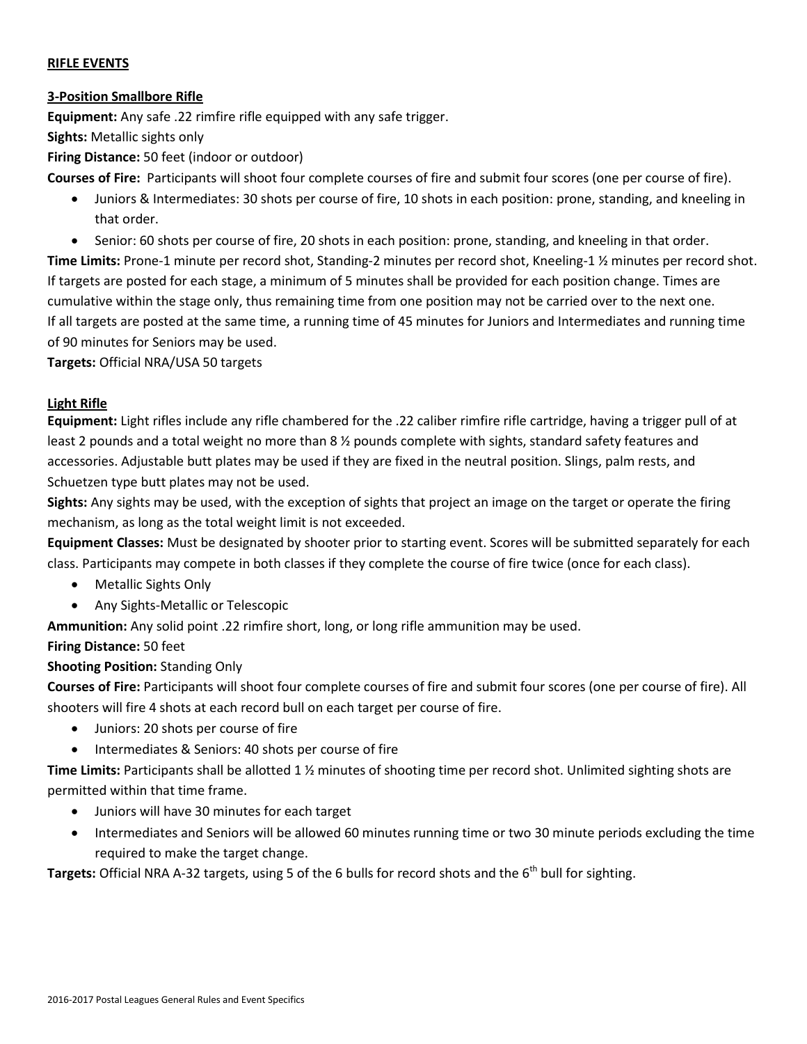## **RIFLE EVENTS**

## **3-Position Smallbore Rifle**

**Equipment:** Any safe .22 rimfire rifle equipped with any safe trigger.

**Sights:** Metallic sights only

**Firing Distance:** 50 feet (indoor or outdoor)

**Courses of Fire:** Participants will shoot four complete courses of fire and submit four scores (one per course of fire).

- Juniors & Intermediates: 30 shots per course of fire, 10 shots in each position: prone, standing, and kneeling in that order.
- Senior: 60 shots per course of fire, 20 shots in each position: prone, standing, and kneeling in that order.

**Time Limits:** Prone-1 minute per record shot, Standing-2 minutes per record shot, Kneeling-1 ½ minutes per record shot. If targets are posted for each stage, a minimum of 5 minutes shall be provided for each position change. Times are cumulative within the stage only, thus remaining time from one position may not be carried over to the next one. If all targets are posted at the same time, a running time of 45 minutes for Juniors and Intermediates and running time of 90 minutes for Seniors may be used.

**Targets:** Official NRA/USA 50 targets

## **Light Rifle**

**Equipment:** Light rifles include any rifle chambered for the .22 caliber rimfire rifle cartridge, having a trigger pull of at least 2 pounds and a total weight no more than 8 % pounds complete with sights, standard safety features and accessories. Adjustable butt plates may be used if they are fixed in the neutral position. Slings, palm rests, and Schuetzen type butt plates may not be used.

**Sights:** Any sights may be used, with the exception of sights that project an image on the target or operate the firing mechanism, as long as the total weight limit is not exceeded.

**Equipment Classes:** Must be designated by shooter prior to starting event. Scores will be submitted separately for each class. Participants may compete in both classes if they complete the course of fire twice (once for each class).

- Metallic Sights Only
- Any Sights-Metallic or Telescopic

**Ammunition:** Any solid point .22 rimfire short, long, or long rifle ammunition may be used.

**Firing Distance:** 50 feet

# **Shooting Position:** Standing Only

**Courses of Fire:** Participants will shoot four complete courses of fire and submit four scores (one per course of fire). All shooters will fire 4 shots at each record bull on each target per course of fire.

- Juniors: 20 shots per course of fire
- Intermediates & Seniors: 40 shots per course of fire

**Time Limits:** Participants shall be allotted 1 ½ minutes of shooting time per record shot. Unlimited sighting shots are permitted within that time frame.

- Juniors will have 30 minutes for each target
- Intermediates and Seniors will be allowed 60 minutes running time or two 30 minute periods excluding the time required to make the target change.

Targets: Official NRA A-32 targets, using 5 of the 6 bulls for record shots and the 6<sup>th</sup> bull for sighting.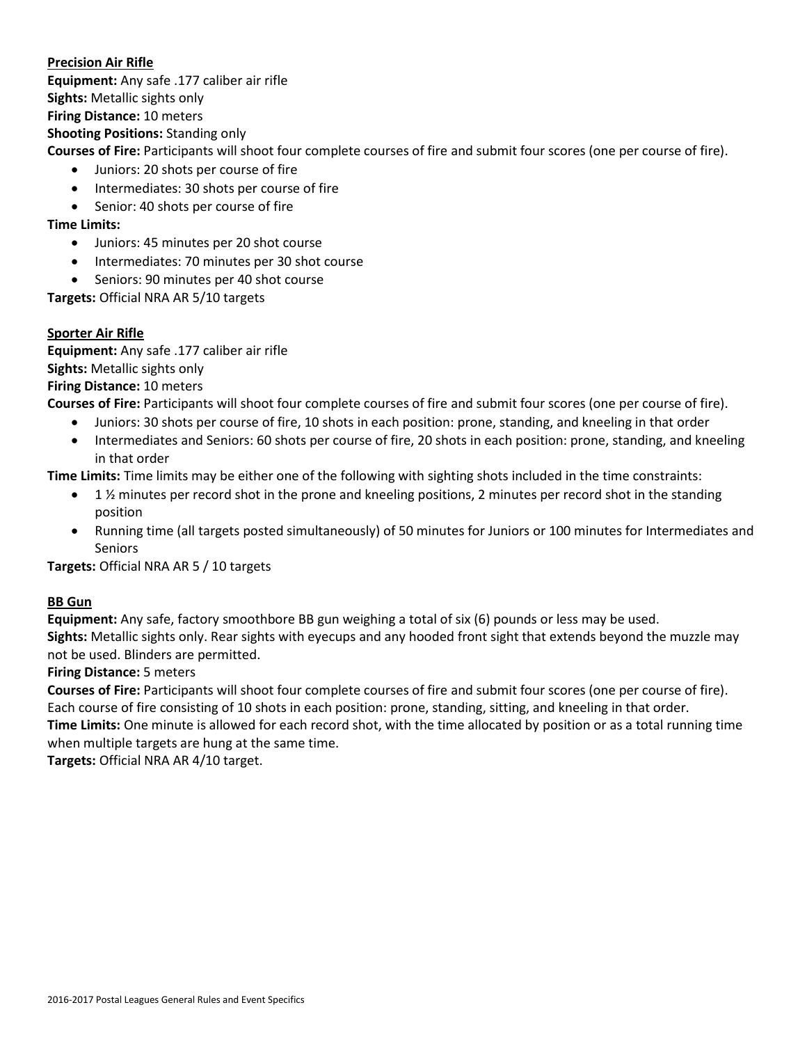## **Precision Air Rifle**

**Equipment:** Any safe .177 caliber air rifle **Sights:** Metallic sights only **Firing Distance:** 10 meters **Shooting Positions:** Standing only **Courses of Fire:** Participants will shoot four complete courses of fire and submit four scores (one per course of fire).

- Juniors: 20 shots per course of fire
- Intermediates: 30 shots per course of fire
- Senior: 40 shots per course of fire

# **Time Limits:**

- Juniors: 45 minutes per 20 shot course
- Intermediates: 70 minutes per 30 shot course
- Seniors: 90 minutes per 40 shot course

**Targets:** Official NRA AR 5/10 targets

# **Sporter Air Rifle**

**Equipment:** Any safe .177 caliber air rifle **Sights:** Metallic sights only **Firing Distance:** 10 meters

**Courses of Fire:** Participants will shoot four complete courses of fire and submit four scores (one per course of fire).

- Juniors: 30 shots per course of fire, 10 shots in each position: prone, standing, and kneeling in that order
- Intermediates and Seniors: 60 shots per course of fire, 20 shots in each position: prone, standing, and kneeling in that order

**Time Limits:** Time limits may be either one of the following with sighting shots included in the time constraints:

- $\bullet$  1 % minutes per record shot in the prone and kneeling positions, 2 minutes per record shot in the standing position
- Running time (all targets posted simultaneously) of 50 minutes for Juniors or 100 minutes for Intermediates and Seniors

**Targets:** Official NRA AR 5 / 10 targets

# **BB Gun**

**Equipment:** Any safe, factory smoothbore BB gun weighing a total of six (6) pounds or less may be used. **Sights:** Metallic sights only. Rear sights with eyecups and any hooded front sight that extends beyond the muzzle may not be used. Blinders are permitted.

# **Firing Distance:** 5 meters

**Courses of Fire:** Participants will shoot four complete courses of fire and submit four scores (one per course of fire). Each course of fire consisting of 10 shots in each position: prone, standing, sitting, and kneeling in that order. **Time Limits:** One minute is allowed for each record shot, with the time allocated by position or as a total running time when multiple targets are hung at the same time.

**Targets:** Official NRA AR 4/10 target.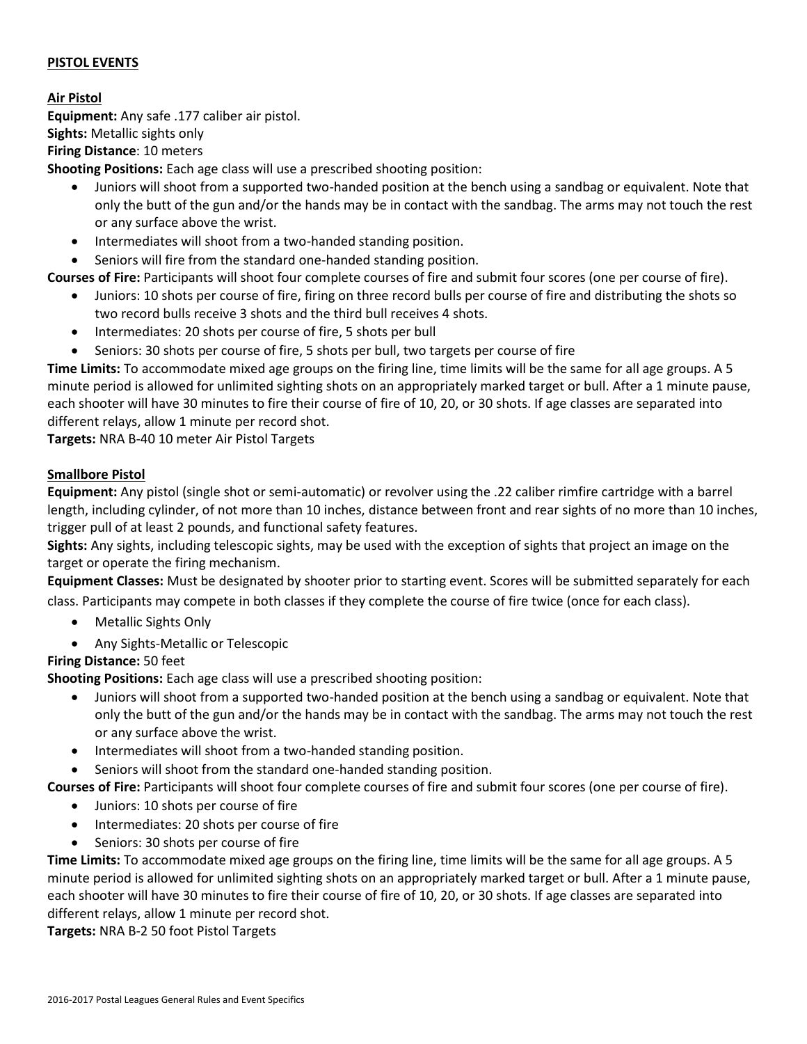## **PISTOL EVENTS**

## **Air Pistol**

**Equipment:** Any safe .177 caliber air pistol. **Sights:** Metallic sights only **Firing Distance**: 10 meters

**Shooting Positions:** Each age class will use a prescribed shooting position:

- Juniors will shoot from a supported two-handed position at the bench using a sandbag or equivalent. Note that only the butt of the gun and/or the hands may be in contact with the sandbag. The arms may not touch the rest or any surface above the wrist.
- Intermediates will shoot from a two-handed standing position.

Seniors will fire from the standard one-handed standing position.

**Courses of Fire:** Participants will shoot four complete courses of fire and submit four scores (one per course of fire).

- Juniors: 10 shots per course of fire, firing on three record bulls per course of fire and distributing the shots so two record bulls receive 3 shots and the third bull receives 4 shots.
- Intermediates: 20 shots per course of fire, 5 shots per bull
- Seniors: 30 shots per course of fire, 5 shots per bull, two targets per course of fire

**Time Limits:** To accommodate mixed age groups on the firing line, time limits will be the same for all age groups. A 5 minute period is allowed for unlimited sighting shots on an appropriately marked target or bull. After a 1 minute pause, each shooter will have 30 minutes to fire their course of fire of 10, 20, or 30 shots. If age classes are separated into different relays, allow 1 minute per record shot.

**Targets:** NRA B-40 10 meter Air Pistol Targets

# **Smallbore Pistol**

**Equipment:** Any pistol (single shot or semi-automatic) or revolver using the .22 caliber rimfire cartridge with a barrel length, including cylinder, of not more than 10 inches, distance between front and rear sights of no more than 10 inches, trigger pull of at least 2 pounds, and functional safety features.

**Sights:** Any sights, including telescopic sights, may be used with the exception of sights that project an image on the target or operate the firing mechanism.

**Equipment Classes:** Must be designated by shooter prior to starting event. Scores will be submitted separately for each class. Participants may compete in both classes if they complete the course of fire twice (once for each class).

- Metallic Sights Only
- Any Sights-Metallic or Telescopic

**Firing Distance:** 50 feet

**Shooting Positions:** Each age class will use a prescribed shooting position:

- Juniors will shoot from a supported two-handed position at the bench using a sandbag or equivalent. Note that only the butt of the gun and/or the hands may be in contact with the sandbag. The arms may not touch the rest or any surface above the wrist.
- Intermediates will shoot from a two-handed standing position.
- Seniors will shoot from the standard one-handed standing position.

**Courses of Fire:** Participants will shoot four complete courses of fire and submit four scores (one per course of fire).

- Juniors: 10 shots per course of fire
- Intermediates: 20 shots per course of fire
- Seniors: 30 shots per course of fire

**Time Limits:** To accommodate mixed age groups on the firing line, time limits will be the same for all age groups. A 5 minute period is allowed for unlimited sighting shots on an appropriately marked target or bull. After a 1 minute pause, each shooter will have 30 minutes to fire their course of fire of 10, 20, or 30 shots. If age classes are separated into different relays, allow 1 minute per record shot.

**Targets:** NRA B-2 50 foot Pistol Targets